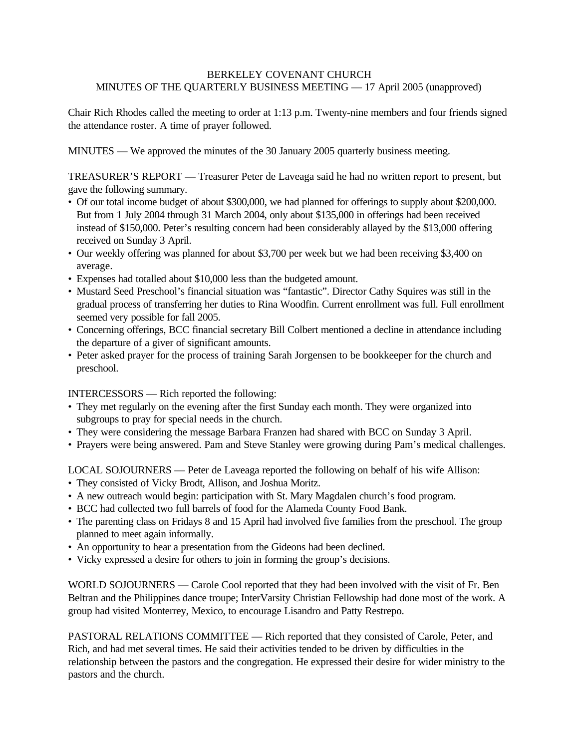## BERKELEY COVENANT CHURCH MINUTES OF THE QUARTERLY BUSINESS MEETING — 17 April 2005 (unapproved)

Chair Rich Rhodes called the meeting to order at 1:13 p.m. Twenty-nine members and four friends signed the attendance roster. A time of prayer followed.

MINUTES — We approved the minutes of the 30 January 2005 quarterly business meeting.

TREASURER'S REPORT — Treasurer Peter de Laveaga said he had no written report to present, but gave the following summary.

- Of our total income budget of about \$300,000, we had planned for offerings to supply about \$200,000. But from 1 July 2004 through 31 March 2004, only about \$135,000 in offerings had been received instead of \$150,000. Peter's resulting concern had been considerably allayed by the \$13,000 offering received on Sunday 3 April.
- Our weekly offering was planned for about \$3,700 per week but we had been receiving \$3,400 on average.
- Expenses had totalled about \$10,000 less than the budgeted amount.
- Mustard Seed Preschool's financial situation was "fantastic". Director Cathy Squires was still in the gradual process of transferring her duties to Rina Woodfin. Current enrollment was full. Full enrollment seemed very possible for fall 2005.
- Concerning offerings, BCC financial secretary Bill Colbert mentioned a decline in attendance including the departure of a giver of significant amounts.
- Peter asked prayer for the process of training Sarah Jorgensen to be bookkeeper for the church and preschool.

INTERCESSORS — Rich reported the following:

- They met regularly on the evening after the first Sunday each month. They were organized into subgroups to pray for special needs in the church.
- They were considering the message Barbara Franzen had shared with BCC on Sunday 3 April.
- Prayers were being answered. Pam and Steve Stanley were growing during Pam's medical challenges.

LOCAL SOJOURNERS — Peter de Laveaga reported the following on behalf of his wife Allison:

- They consisted of Vicky Brodt, Allison, and Joshua Moritz.
- A new outreach would begin: participation with St. Mary Magdalen church's food program.
- BCC had collected two full barrels of food for the Alameda County Food Bank.
- The parenting class on Fridays 8 and 15 April had involved five families from the preschool. The group planned to meet again informally.
- An opportunity to hear a presentation from the Gideons had been declined.
- Vicky expressed a desire for others to join in forming the group's decisions.

WORLD SOJOURNERS — Carole Cool reported that they had been involved with the visit of Fr. Ben Beltran and the Philippines dance troupe; InterVarsity Christian Fellowship had done most of the work. A group had visited Monterrey, Mexico, to encourage Lisandro and Patty Restrepo.

PASTORAL RELATIONS COMMITTEE — Rich reported that they consisted of Carole, Peter, and Rich, and had met several times. He said their activities tended to be driven by difficulties in the relationship between the pastors and the congregation. He expressed their desire for wider ministry to the pastors and the church.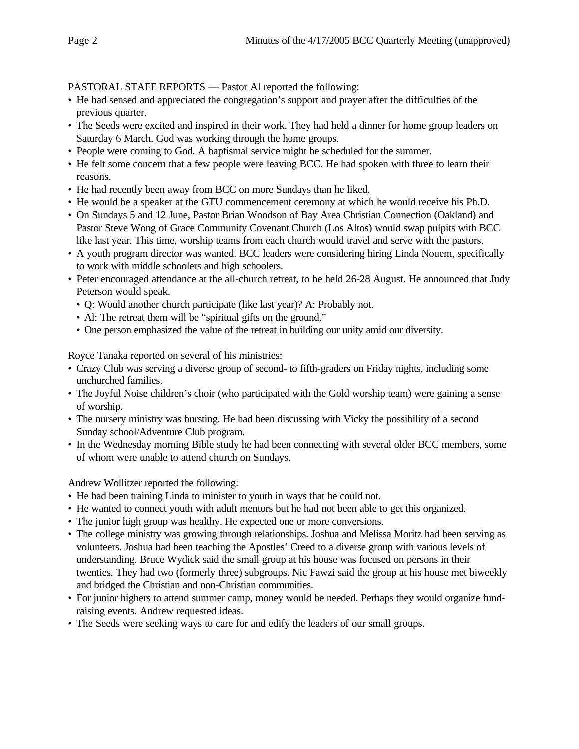PASTORAL STAFF REPORTS — Pastor Al reported the following:

- He had sensed and appreciated the congregation's support and prayer after the difficulties of the previous quarter.
- The Seeds were excited and inspired in their work. They had held a dinner for home group leaders on Saturday 6 March. God was working through the home groups.
- People were coming to God. A baptismal service might be scheduled for the summer.
- He felt some concern that a few people were leaving BCC. He had spoken with three to learn their reasons.
- He had recently been away from BCC on more Sundays than he liked.
- He would be a speaker at the GTU commencement ceremony at which he would receive his Ph.D.
- On Sundays 5 and 12 June, Pastor Brian Woodson of Bay Area Christian Connection (Oakland) and Pastor Steve Wong of Grace Community Covenant Church (Los Altos) would swap pulpits with BCC like last year. This time, worship teams from each church would travel and serve with the pastors.
- A youth program director was wanted. BCC leaders were considering hiring Linda Nouem, specifically to work with middle schoolers and high schoolers.
- Peter encouraged attendance at the all-church retreat, to be held 26-28 August. He announced that Judy Peterson would speak.
	- Q: Would another church participate (like last year)? A: Probably not.
	- Al: The retreat them will be "spiritual gifts on the ground."
	- One person emphasized the value of the retreat in building our unity amid our diversity.

Royce Tanaka reported on several of his ministries:

- Crazy Club was serving a diverse group of second- to fifth-graders on Friday nights, including some unchurched families.
- The Joyful Noise children's choir (who participated with the Gold worship team) were gaining a sense of worship.
- The nursery ministry was bursting. He had been discussing with Vicky the possibility of a second Sunday school/Adventure Club program.
- In the Wednesday morning Bible study he had been connecting with several older BCC members, some of whom were unable to attend church on Sundays.

Andrew Wollitzer reported the following:

- He had been training Linda to minister to youth in ways that he could not.
- He wanted to connect youth with adult mentors but he had not been able to get this organized.
- The junior high group was healthy. He expected one or more conversions.
- The college ministry was growing through relationships. Joshua and Melissa Moritz had been serving as volunteers. Joshua had been teaching the Apostles' Creed to a diverse group with various levels of understanding. Bruce Wydick said the small group at his house was focused on persons in their twenties. They had two (formerly three) subgroups. Nic Fawzi said the group at his house met biweekly and bridged the Christian and non-Christian communities.
- For junior highers to attend summer camp, money would be needed. Perhaps they would organize fundraising events. Andrew requested ideas.
- The Seeds were seeking ways to care for and edify the leaders of our small groups.